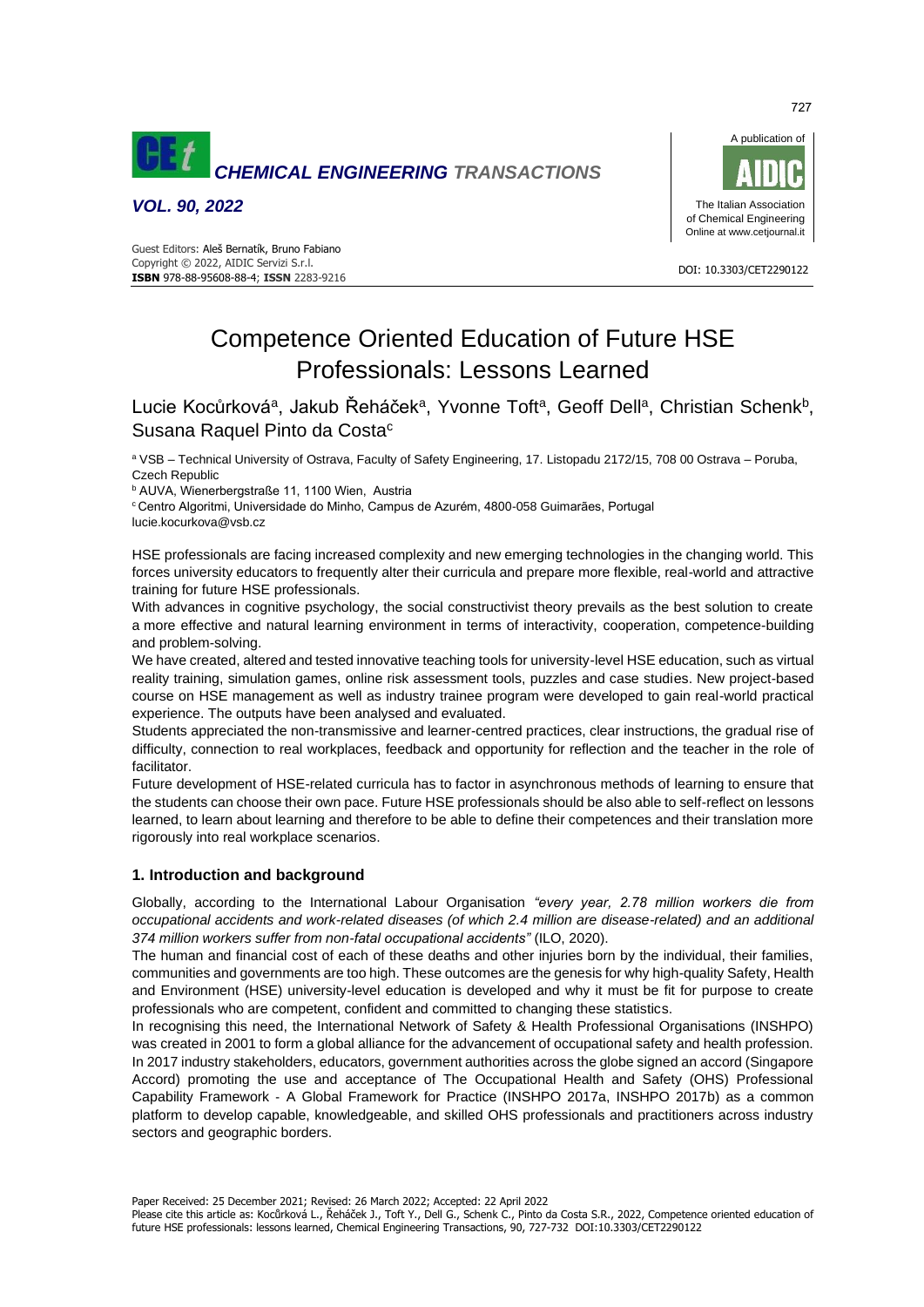

*VOL. 90, 2022*





# Competence Oriented Education of Future HSE Professionals: Lessons Learned

Lucie Kocůrková<sup>a</sup>, Jakub Řeháček<sup>a</sup>, Yvonne Toft<sup>a</sup>, Geoff Dell<sup>a</sup>, Christian Schenk<sup>b</sup>, Susana Raquel Pinto da Costa<sup>c</sup>

<sup>a</sup> VSB – Technical University of Ostrava, Faculty of Safety Engineering, 17. Listopadu 2172/15, 708 00 Ostrava – Poruba, Czech Republic

<sup>b</sup> AUVA, Wienerbergstraße 11, 1100 Wien, Austria

<sup>c</sup> Centro Algoritmi, Universidade do Minho, Campus de Azurém, 4800-058 Guimarães, Portugal lucie.kocurkova@vsb.cz

HSE professionals are facing increased complexity and new emerging technologies in the changing world. This forces university educators to frequently alter their curricula and prepare more flexible, real-world and attractive training for future HSE professionals.

With advances in cognitive psychology, the social constructivist theory prevails as the best solution to create a more effective and natural learning environment in terms of interactivity, cooperation, competence-building and problem-solving.

We have created, altered and tested innovative teaching tools for university-level HSE education, such as virtual reality training, simulation games, online risk assessment tools, puzzles and case studies. New project-based course on HSE management as well as industry trainee program were developed to gain real-world practical experience. The outputs have been analysed and evaluated.

Students appreciated the non-transmissive and learner-centred practices, clear instructions, the gradual rise of difficulty, connection to real workplaces, feedback and opportunity for reflection and the teacher in the role of facilitator.

Future development of HSE-related curricula has to factor in asynchronous methods of learning to ensure that the students can choose their own pace. Future HSE professionals should be also able to self-reflect on lessons learned, to learn about learning and therefore to be able to define their competences and their translation more rigorously into real workplace scenarios.

# **1. Introduction and background**

Globally, according to the International Labour Organisation *"every year, 2.78 million workers die from occupational accidents and work-related diseases (of which 2.4 million are disease-related) and an additional 374 million workers suffer from non-fatal occupational accidents"* (ILO, 2020).

The human and financial cost of each of these deaths and other injuries born by the individual, their families, communities and governments are too high. These outcomes are the genesis for why high-quality Safety, Health and Environment (HSE) university-level education is developed and why it must be fit for purpose to create professionals who are competent, confident and committed to changing these statistics.

In recognising this need, the International Network of Safety & Health Professional Organisations (INSHPO) was created in 2001 to form a global alliance for the advancement of occupational safety and health profession. In 2017 industry stakeholders, educators, government authorities across the globe signed an accord (Singapore Accord) promoting the use and acceptance of The Occupational Health and Safety (OHS) Professional Capability Framework ‐ A Global Framework for Practice (INSHPO 2017a, INSHPO 2017b) as a common platform to develop capable, knowledgeable, and skilled OHS professionals and practitioners across industry sectors and geographic borders.

Paper Received: 25 December 2021; Revised: 26 March 2022; Accepted: 22 April 2022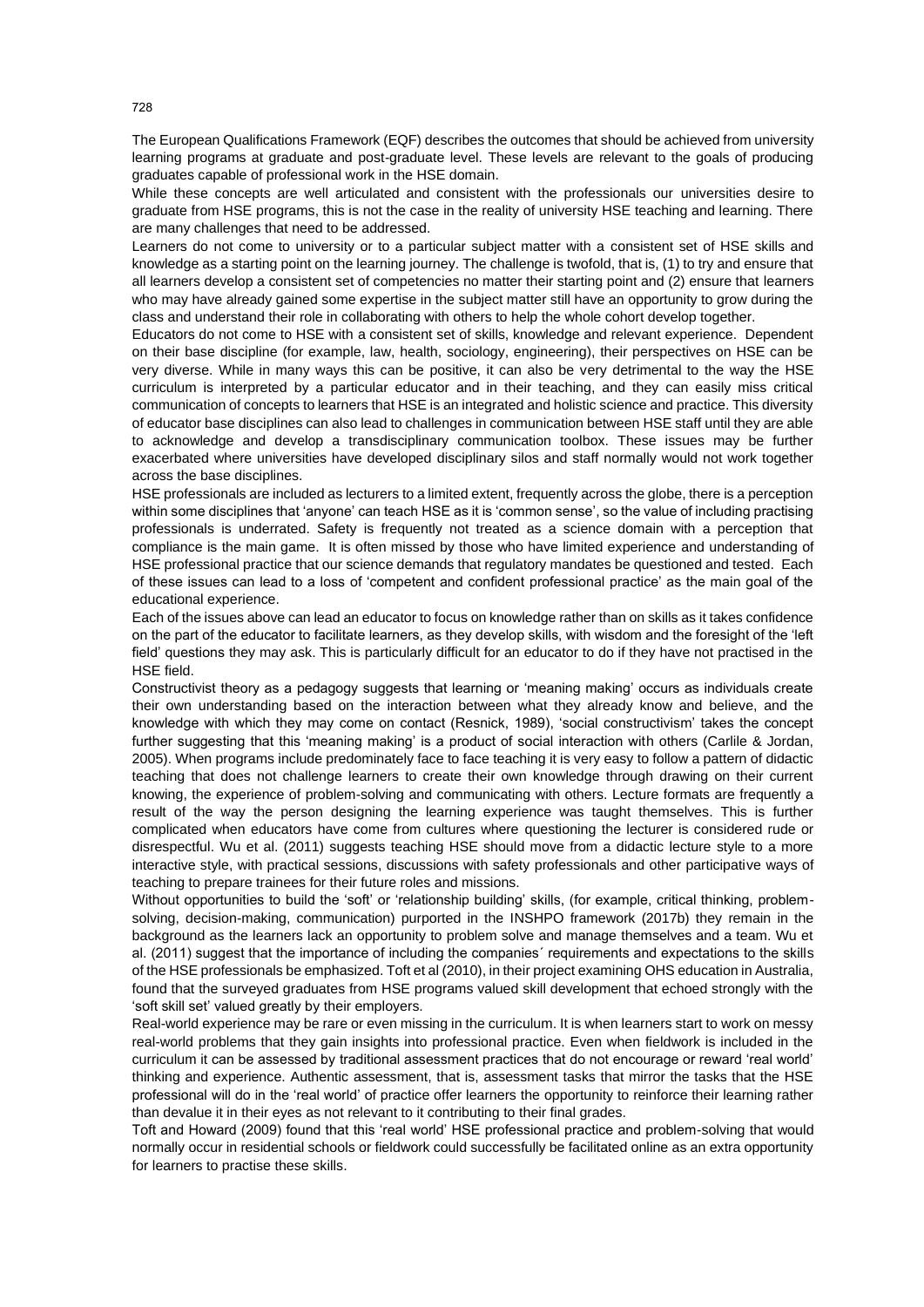The European Qualifications Framework (EQF) describes the outcomes that should be achieved from university learning programs at graduate and post-graduate level. These levels are relevant to the goals of producing graduates capable of professional work in the HSE domain.

While these concepts are well articulated and consistent with the professionals our universities desire to graduate from HSE programs, this is not the case in the reality of university HSE teaching and learning. There are many challenges that need to be addressed.

Learners do not come to university or to a particular subject matter with a consistent set of HSE skills and knowledge as a starting point on the learning journey. The challenge is twofold, that is, (1) to try and ensure that all learners develop a consistent set of competencies no matter their starting point and (2) ensure that learners who may have already gained some expertise in the subject matter still have an opportunity to grow during the class and understand their role in collaborating with others to help the whole cohort develop together.

Educators do not come to HSE with a consistent set of skills, knowledge and relevant experience. Dependent on their base discipline (for example, law, health, sociology, engineering), their perspectives on HSE can be very diverse. While in many ways this can be positive, it can also be very detrimental to the way the HSE curriculum is interpreted by a particular educator and in their teaching, and they can easily miss critical communication of concepts to learners that HSE is an integrated and holistic science and practice. This diversity of educator base disciplines can also lead to challenges in communication between HSE staff until they are able to acknowledge and develop a transdisciplinary communication toolbox. These issues may be further exacerbated where universities have developed disciplinary silos and staff normally would not work together across the base disciplines.

HSE professionals are included as lecturers to a limited extent, frequently across the globe, there is a perception within some disciplines that 'anyone' can teach HSE as it is 'common sense', so the value of including practising professionals is underrated. Safety is frequently not treated as a science domain with a perception that compliance is the main game. It is often missed by those who have limited experience and understanding of HSE professional practice that our science demands that regulatory mandates be questioned and tested. Each of these issues can lead to a loss of 'competent and confident professional practice' as the main goal of the educational experience.

Each of the issues above can lead an educator to focus on knowledge rather than on skills as it takes confidence on the part of the educator to facilitate learners, as they develop skills, with wisdom and the foresight of the 'left field' questions they may ask. This is particularly difficult for an educator to do if they have not practised in the HSE field.

Constructivist theory as a pedagogy suggests that learning or 'meaning making' occurs as individuals create their own understanding based on the interaction between what they already know and believe, and the knowledge with which they may come on contact (Resnick, 1989), 'social constructivism' takes the concept further suggesting that this 'meaning making' is a product of social interaction with others (Carlile & Jordan, 2005). When programs include predominately face to face teaching it is very easy to follow a pattern of didactic teaching that does not challenge learners to create their own knowledge through drawing on their current knowing, the experience of problem-solving and communicating with others. Lecture formats are frequently a result of the way the person designing the learning experience was taught themselves. This is further complicated when educators have come from cultures where questioning the lecturer is considered rude or disrespectful. Wu et al. (2011) suggests teaching HSE should move from a didactic lecture style to a more interactive style, with practical sessions, discussions with safety professionals and other participative ways of teaching to prepare trainees for their future roles and missions.

Without opportunities to build the 'soft' or 'relationship building' skills, (for example, critical thinking, problemsolving, decision-making, communication) purported in the INSHPO framework (2017b) they remain in the background as the learners lack an opportunity to problem solve and manage themselves and a team. Wu et al. (2011) suggest that the importance of including the companies´ requirements and expectations to the skills of the HSE professionals be emphasized. Toft et al (2010), in their project examining OHS education in Australia, found that the surveyed graduates from HSE programs valued skill development that echoed strongly with the 'soft skill set' valued greatly by their employers.

Real-world experience may be rare or even missing in the curriculum. It is when learners start to work on messy real-world problems that they gain insights into professional practice. Even when fieldwork is included in the curriculum it can be assessed by traditional assessment practices that do not encourage or reward 'real world' thinking and experience. Authentic assessment, that is, assessment tasks that mirror the tasks that the HSE professional will do in the 'real world' of practice offer learners the opportunity to reinforce their learning rather than devalue it in their eyes as not relevant to it contributing to their final grades.

Toft and Howard (2009) found that this 'real world' HSE professional practice and problem-solving that would normally occur in residential schools or fieldwork could successfully be facilitated online as an extra opportunity for learners to practise these skills.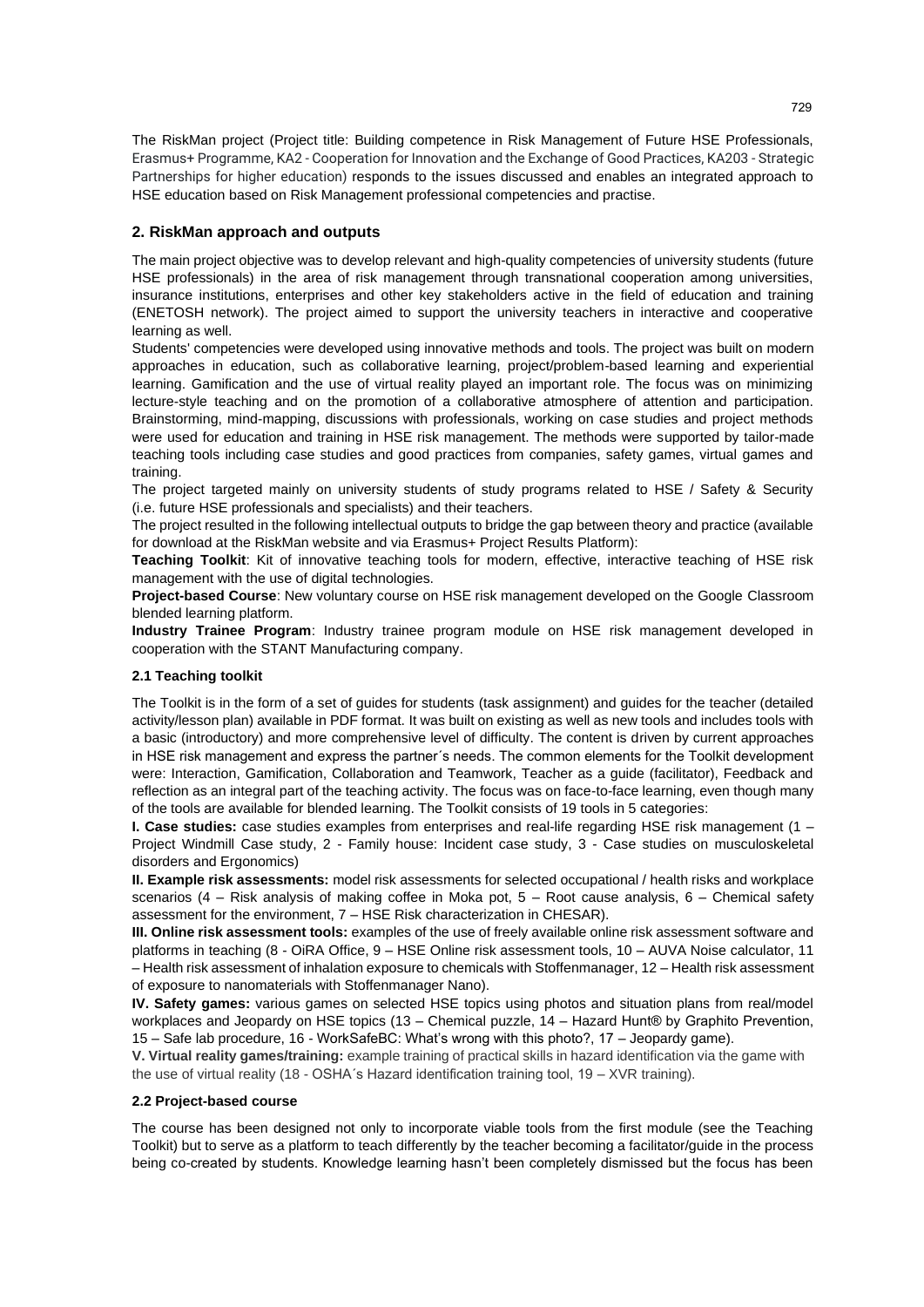The [RiskMan project](https://riskman.vsb.cz/about) (Project title: Building competence in Risk Management of Future HSE Professionals, Erasmus+ Programme, KA2 - Cooperation for Innovation and the Exchange of Good Practices, KA203 - Strategic Partnerships for higher education) responds to the issues discussed and enables an integrated approach to HSE education based on Risk Management professional competencies and practise.

# **2. RiskMan approach and outputs**

The main project objective was to develop relevant and high-quality competencies of university students (future HSE professionals) in the area of risk management through transnational cooperation among universities, insurance institutions, enterprises and other key stakeholders active in the field of education and training (ENETOSH network). The project aimed to support the university teachers in interactive and cooperative learning as well.

Students' competencies were developed using innovative methods and tools. The project was built on modern approaches in education, such as collaborative learning, project/problem-based learning and experiential learning. Gamification and the use of virtual reality played an important role. The focus was on minimizing lecture-style teaching and on the promotion of a collaborative atmosphere of attention and participation. Brainstorming, mind-mapping, discussions with professionals, working on case studies and project methods were used for education and training in HSE risk management. The methods were supported by tailor-made teaching tools including case studies and good practices from companies, safety games, virtual games and training.

The project targeted mainly on university students of study programs related to HSE / Safety & Security (i.e. future HSE professionals and specialists) and their teachers.

The project resulted in the following intellectual outputs to bridge the gap between theory and practice (available for download at the RiskMan website and via Erasmus+ Project Results Platform):

**Teaching Toolkit**: Kit of innovative teaching tools for modern, effective, interactive teaching of HSE risk management with the use of digital technologies.

**Project-based Course**: New voluntary course on HSE risk management developed on the Google Classroom blended learning platform.

**Industry Trainee Program**: Industry trainee program module on HSE risk management developed in cooperation with the STANT Manufacturing company.

### **2.1 Teaching toolkit**

The Toolkit is in the form of a set of guides for students (task assignment) and guides for the teacher (detailed activity/lesson plan) available in PDF format. It was built on existing as well as new tools and includes tools with a basic (introductory) and more comprehensive level of difficulty. The content is driven by current approaches in HSE risk management and express the partner´s needs. The common elements for the Toolkit development were: Interaction, Gamification, Collaboration and Teamwork, Teacher as a guide (facilitator), Feedback and reflection as an integral part of the teaching activity. The focus was on face-to-face learning, even though many of the tools are available for blended learning. The Toolkit consists of 19 tools in 5 categories:

**I. Case studies:** case studies examples from enterprises and real-life regarding HSE risk management (1 – Project Windmill Case study, 2 - Family house: Incident case study, 3 - Case studies on musculoskeletal disorders and Ergonomics)

**II. Example risk assessments:** model risk assessments for selected occupational / health risks and workplace scenarios (4 – Risk analysis of making coffee in Moka pot, 5 – Root cause analysis, 6 – Chemical safety assessment for the environment, 7 – HSE Risk characterization in CHESAR).

**III. Online risk assessment tools:** examples of the use of freely available online risk assessment software and platforms in teaching (8 - OiRA Office, 9 – HSE Online risk assessment tools, 10 – AUVA Noise calculator, 11 – Health risk assessment of inhalation exposure to chemicals with Stoffenmanager, 12 – Health risk assessment of exposure to nanomaterials with Stoffenmanager Nano).

**IV. Safety games:** various games on selected HSE topics using photos and situation plans from real/model workplaces and Jeopardy on HSE topics (13 – Chemical puzzle, 14 – Hazard Hunt® by Graphito Prevention, 15 – Safe lab procedure, 16 - WorkSafeBC: What's wrong with this photo?, 17 – Jeopardy game).

**V. Virtual reality games/training:** example training of practical skills in hazard identification via the game with the use of virtual reality (18 - OSHA´s Hazard identification training tool, 19 – XVR training).

#### **2.2 Project-based course**

The course has been designed not only to incorporate viable tools from the first module (see the Teaching Toolkit) but to serve as a platform to teach differently by the teacher becoming a facilitator/guide in the process being co-created by students. Knowledge learning hasn't been completely dismissed but the focus has been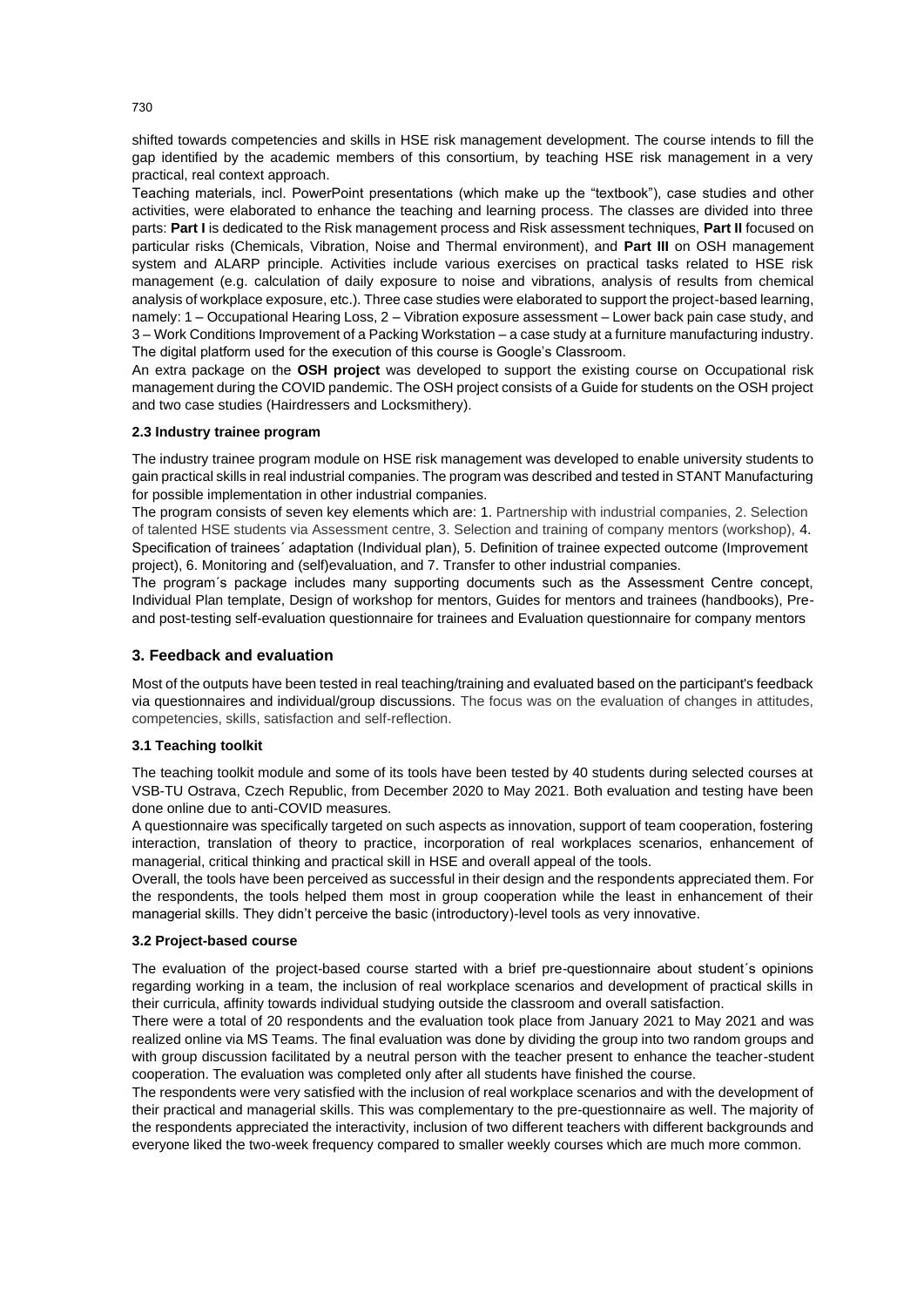shifted towards competencies and skills in HSE risk management development. The course intends to fill the gap identified by the academic members of this consortium, by teaching HSE risk management in a very practical, real context approach.

Teaching materials, incl. PowerPoint presentations (which make up the "textbook"), case studies and other activities, were elaborated to enhance the teaching and learning process. The classes are divided into three parts: **Part I** is dedicated to the Risk management process and Risk assessment techniques, **Part II** focused on particular risks (Chemicals, Vibration, Noise and Thermal environment), and **Part III** on OSH management system and ALARP principle. Activities include various exercises on practical tasks related to HSE risk management (e.g. calculation of daily exposure to noise and vibrations, analysis of results from chemical analysis of workplace exposure, etc.). Three case studies were elaborated to support the project-based learning, namely: 1 – Occupational Hearing Loss, 2 – Vibration exposure assessment – Lower back pain case study, and 3 – Work Conditions Improvement of a Packing Workstation – a case study at a furniture manufacturing industry. The digital platform used for the execution of this course is Google's Classroom.

An extra package on the **OSH project** was developed to support the existing course on Occupational risk management during the COVID pandemic. The OSH project consists of a Guide for students on the OSH project and two case studies (Hairdressers and Locksmithery).

#### **2.3 Industry trainee program**

The industry trainee program module on HSE risk management was developed to enable university students to gain practical skills in real industrial companies. The program was described and tested in STANT Manufacturing for possible implementation in other industrial companies.

The program consists of seven key elements which are: 1. Partnership with industrial companies, 2. Selection of talented HSE students via Assessment centre, 3. Selection and training of company mentors (workshop), 4. Specification of trainees´ adaptation (Individual plan), 5. Definition of trainee expected outcome (Improvement project), 6. Monitoring and (self)evaluation, and 7. Transfer to other industrial companies.

The program´s package includes many supporting documents such as the Assessment Centre concept, Individual Plan template, Design of workshop for mentors, Guides for mentors and trainees (handbooks), Preand post-testing self-evaluation questionnaire for trainees and Evaluation questionnaire for company mentors

### **3. Feedback and evaluation**

Most of the outputs have been tested in real teaching/training and evaluated based on the participant's feedback via questionnaires and individual/group discussions. The focus was on the evaluation of changes in attitudes, competencies, skills, satisfaction and self-reflection.

#### **3.1 Teaching toolkit**

The teaching toolkit module and some of its tools have been tested by 40 students during selected courses at VSB-TU Ostrava, Czech Republic, from December 2020 to May 2021. Both evaluation and testing have been done online due to anti-COVID measures.

A questionnaire was specifically targeted on such aspects as innovation, support of team cooperation, fostering interaction, translation of theory to practice, incorporation of real workplaces scenarios, enhancement of managerial, critical thinking and practical skill in HSE and overall appeal of the tools.

Overall, the tools have been perceived as successful in their design and the respondents appreciated them. For the respondents, the tools helped them most in group cooperation while the least in enhancement of their managerial skills. They didn't perceive the basic (introductory)-level tools as very innovative.

### **3.2 Project-based course**

The evaluation of the project-based course started with a brief pre-questionnaire about student´s opinions regarding working in a team, the inclusion of real workplace scenarios and development of practical skills in their curricula, affinity towards individual studying outside the classroom and overall satisfaction.

There were a total of 20 respondents and the evaluation took place from January 2021 to May 2021 and was realized online via MS Teams. The final evaluation was done by dividing the group into two random groups and with group discussion facilitated by a neutral person with the teacher present to enhance the teacher-student cooperation. The evaluation was completed only after all students have finished the course.

The respondents were very satisfied with the inclusion of real workplace scenarios and with the development of their practical and managerial skills. This was complementary to the pre-questionnaire as well. The majority of the respondents appreciated the interactivity, inclusion of two different teachers with different backgrounds and everyone liked the two-week frequency compared to smaller weekly courses which are much more common.

730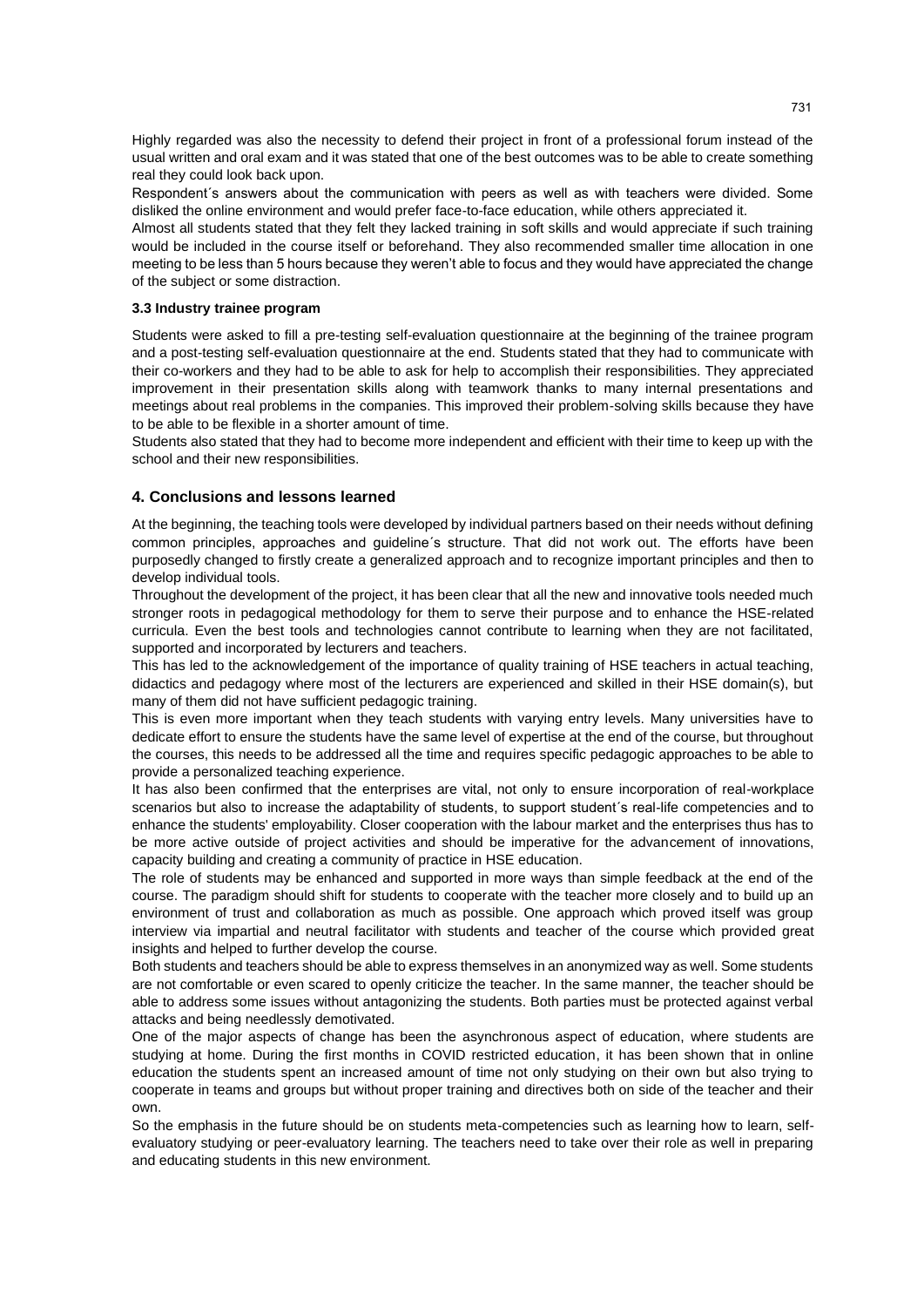Highly regarded was also the necessity to defend their project in front of a professional forum instead of the usual written and oral exam and it was stated that one of the best outcomes was to be able to create something real they could look back upon.

Respondent´s answers about the communication with peers as well as with teachers were divided. Some disliked the online environment and would prefer face-to-face education, while others appreciated it.

Almost all students stated that they felt they lacked training in soft skills and would appreciate if such training would be included in the course itself or beforehand. They also recommended smaller time allocation in one meeting to be less than 5 hours because they weren't able to focus and they would have appreciated the change of the subject or some distraction.

#### **3.3 Industry trainee program**

Students were asked to fill a pre-testing self-evaluation questionnaire at the beginning of the trainee program and a post-testing self-evaluation questionnaire at the end. Students stated that they had to communicate with their co-workers and they had to be able to ask for help to accomplish their responsibilities. They appreciated improvement in their presentation skills along with teamwork thanks to many internal presentations and meetings about real problems in the companies. This improved their problem-solving skills because they have to be able to be flexible in a shorter amount of time.

Students also stated that they had to become more independent and efficient with their time to keep up with the school and their new responsibilities.

#### **4. Conclusions and lessons learned**

At the beginning, the teaching tools were developed by individual partners based on their needs without defining common principles, approaches and guideline´s structure. That did not work out. The efforts have been purposedly changed to firstly create a generalized approach and to recognize important principles and then to develop individual tools.

Throughout the development of the project, it has been clear that all the new and innovative tools needed much stronger roots in pedagogical methodology for them to serve their purpose and to enhance the HSE-related curricula. Even the best tools and technologies cannot contribute to learning when they are not facilitated, supported and incorporated by lecturers and teachers.

This has led to the acknowledgement of the importance of quality training of HSE teachers in actual teaching, didactics and pedagogy where most of the lecturers are experienced and skilled in their HSE domain(s), but many of them did not have sufficient pedagogic training.

This is even more important when they teach students with varying entry levels. Many universities have to dedicate effort to ensure the students have the same level of expertise at the end of the course, but throughout the courses, this needs to be addressed all the time and requires specific pedagogic approaches to be able to provide a personalized teaching experience.

It has also been confirmed that the enterprises are vital, not only to ensure incorporation of real-workplace scenarios but also to increase the adaptability of students, to support student's real-life competencies and to enhance the students' employability. Closer cooperation with the labour market and the enterprises thus has to be more active outside of project activities and should be imperative for the advancement of innovations, capacity building and creating a community of practice in HSE education.

The role of students may be enhanced and supported in more ways than simple feedback at the end of the course. The paradigm should shift for students to cooperate with the teacher more closely and to build up an environment of trust and collaboration as much as possible. One approach which proved itself was group interview via impartial and neutral facilitator with students and teacher of the course which provided great insights and helped to further develop the course.

Both students and teachers should be able to express themselves in an anonymized way as well. Some students are not comfortable or even scared to openly criticize the teacher. In the same manner, the teacher should be able to address some issues without antagonizing the students. Both parties must be protected against verbal attacks and being needlessly demotivated.

One of the major aspects of change has been the asynchronous aspect of education, where students are studying at home. During the first months in COVID restricted education, it has been shown that in online education the students spent an increased amount of time not only studying on their own but also trying to cooperate in teams and groups but without proper training and directives both on side of the teacher and their own.

So the emphasis in the future should be on students meta-competencies such as learning how to learn, selfevaluatory studying or peer-evaluatory learning. The teachers need to take over their role as well in preparing and educating students in this new environment.